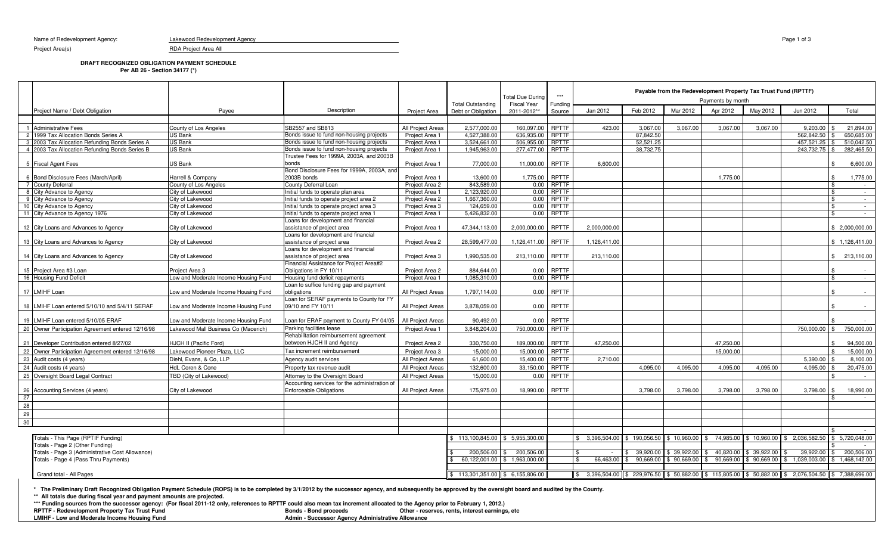Name of Redevelopment Agency: Lakewood Redevelopment Agency

RDA Project Area All

Project Area(s)

## **DRAFT RECOGNIZED OBLIGATION PAYMENT SCHEDULE**

**Per AB 26 - Section 34177 (\*)**

|                                                    |  |                                                        |                                                                            |                   | <b>Total Outstanding</b>              | <b>Total Due During</b><br><b>Fiscal Year</b> | $***$                        | Payable from the Redevelopment Property Tax Trust Fund (RPTTF)<br>Payments by month                                                                                                |           |             |                           |              |               |                                       |
|----------------------------------------------------|--|--------------------------------------------------------|----------------------------------------------------------------------------|-------------------|---------------------------------------|-----------------------------------------------|------------------------------|------------------------------------------------------------------------------------------------------------------------------------------------------------------------------------|-----------|-------------|---------------------------|--------------|---------------|---------------------------------------|
| Proiect Name / Debt Obligation                     |  | Pavee                                                  | Description                                                                | Project Area      | Debt or Obligation                    | 2011-2012**                                   | Funding<br>Source            | Jan 2012                                                                                                                                                                           | Feb 2012  | Mar 2012    | Apr 2012                  | May 2012     | Jun 2012      | Total                                 |
|                                                    |  |                                                        |                                                                            |                   |                                       |                                               |                              |                                                                                                                                                                                    |           |             |                           |              |               |                                       |
| 1 Administrative Fees                              |  | County of Los Angeles                                  | SB2557 and SB813                                                           | All Project Areas | 2.577.000.00                          | 160.097.00                                    | <b>RPTTF</b>                 | 423.00                                                                                                                                                                             | 3.067.00  | 3.067.00    | 3,067.00                  | 3.067.00     | 9.203.00      | 21.894.00                             |
| 2 1999 Tax Allocation Bonds Series A               |  | <b>US Bank</b>                                         | Bonds issue to fund non-housing projects                                   | Project Area 1    | 4.527.388.00                          | 636.935.00                                    | <b>RPTTF</b>                 |                                                                                                                                                                                    | 87,842.50 |             |                           |              | 562,842.50    | 650.685.00                            |
| 3 2003 Tax Allocation Refunding Bonds Series A     |  | <b>US Bank</b>                                         | Bonds issue to fund non-housing projects                                   | Project Area 1    | 3,524,661.00                          | 506.955.00                                    | <b>RPTTF</b>                 |                                                                                                                                                                                    | 52.521.25 |             |                           |              | 457.521.25    | 510.042.50                            |
| 4 2003 Tax Allocation Refunding Bonds Series B     |  | <b>US Bank</b>                                         | Bonds issue to fund non-housing projects                                   | Project Area      | 1,945,963.00                          | 277,477.00                                    | <b>RPTTF</b>                 |                                                                                                                                                                                    | 38.732.75 |             |                           |              | 243,732.75 \$ | 282.465.50                            |
|                                                    |  |                                                        | Trustee Fees for 1999A, 2003A, and 2003B                                   |                   |                                       |                                               |                              |                                                                                                                                                                                    |           |             |                           |              |               |                                       |
| 5 Fiscal Agent Fees                                |  | <b>US Bank</b>                                         | bonds                                                                      | Project Area 1    | 77,000.00                             | 11.000.00                                     | <b>RPTTF</b>                 | 6.600.00                                                                                                                                                                           |           |             |                           |              |               | 6,600.00                              |
| 6 Bond Disclosure Fees (March/April)               |  | Harrell & Company                                      | Bond Disclosure Fees for 1999A, 2003A, and<br>2003B bonds                  | Project Area 1    | 13.600.00                             | 1,775.00                                      | <b>RPTTF</b>                 |                                                                                                                                                                                    |           |             | 1.775.00                  |              |               | 1,775.00<br>\$                        |
| 7 County Deferral                                  |  | County of Los Angeles                                  | County Deferral Loan                                                       | Project Area 2    | 843.589.00                            | 0.00                                          | <b>RPTTF</b>                 |                                                                                                                                                                                    |           |             |                           |              |               | \$<br>$\sim 100$                      |
| 8 City Advance to Agency                           |  | City of Lakewood                                       | Initial funds to operate plan area                                         | Project Area 1    | 2,123,920.00                          | 0.00                                          | <b>RPTTF</b>                 |                                                                                                                                                                                    |           |             |                           |              |               | \$<br>$\sim$                          |
| 9 City Advance to Agency                           |  | City of Lakewood                                       | Initial funds to operate project area 2                                    | Project Area 2    | 1,667,360.00                          | 0.00                                          | RPTTF                        |                                                                                                                                                                                    |           |             |                           |              |               | <b>\$</b><br><b>Contract Contract</b> |
| 10 City Advance to Agency                          |  | City of Lakewood                                       | Initial funds to operate project area 3                                    | Project Area 3    | 124,659.00                            | 0.00                                          | <b>RPTTF</b>                 |                                                                                                                                                                                    |           |             |                           |              |               | \$<br>$\sim 100$                      |
| 11 City Advance to Agency 1976                     |  | City of Lakewood                                       | Initial funds to operate project area 1                                    | Project Area 1    | 5,426,832.00                          | 0.00                                          | <b>RPTTF</b>                 |                                                                                                                                                                                    |           |             |                           |              |               | \$<br>$\sim$                          |
|                                                    |  |                                                        | Loans for development and financial                                        |                   |                                       |                                               |                              |                                                                                                                                                                                    |           |             |                           |              |               |                                       |
| 12 City Loans and Advances to Agency               |  | City of Lakewood                                       | assistance of project area                                                 | Project Area 1    | 47,344,113.00                         | 2,000,000.00                                  | <b>RPTTF</b>                 | 2.000.000.00                                                                                                                                                                       |           |             |                           |              |               | \$2,000,000.00                        |
|                                                    |  |                                                        | Loans for development and financial                                        |                   |                                       |                                               |                              |                                                                                                                                                                                    |           |             |                           |              |               |                                       |
| 13 City Loans and Advances to Agency               |  | City of Lakewood                                       | assistance of project area                                                 | Project Area 2    | 28,599,477.00                         | 1,126,411.00                                  | RPTTF                        | 1,126,411.00                                                                                                                                                                       |           |             |                           |              |               | \$1,126,411.00                        |
|                                                    |  |                                                        | Loans for development and financial                                        |                   |                                       |                                               |                              |                                                                                                                                                                                    |           |             |                           |              |               |                                       |
| 14 City Loans and Advances to Agency               |  | City of Lakewood                                       | assistance of project area                                                 | Project Area 3    | 1,990,535.00                          | 213,110.00                                    | <b>RPTTF</b>                 | 213,110.00                                                                                                                                                                         |           |             |                           |              |               | \$213,110.00                          |
|                                                    |  |                                                        | Financial Assistance for Project Area#2                                    |                   |                                       |                                               |                              |                                                                                                                                                                                    |           |             |                           |              |               |                                       |
| 15 Project Area #3 Loan<br>16 Housing Fund Deficit |  | Project Area 3<br>Low and Moderate Income Housing Fund | Obligations in FY 10/11                                                    | Project Area 2    | 884,644.00<br>1.085.310.00            | 0.00<br>0.00                                  | <b>RPTTF</b><br><b>RPTTF</b> |                                                                                                                                                                                    |           |             |                           |              |               | \$<br>$\sim$                          |
|                                                    |  |                                                        | Housing fund deficit repayments<br>Loan to suffice funding gap and payment | Project Area 1    |                                       |                                               |                              |                                                                                                                                                                                    |           |             |                           |              |               |                                       |
| 17 LMIHF Loan                                      |  | Low and Moderate Income Housing Fund                   | obligations                                                                | All Project Areas | 1,797,114.00                          | 0.00                                          | <b>RPTTF</b>                 |                                                                                                                                                                                    |           |             |                           |              |               |                                       |
|                                                    |  |                                                        | Loan for SERAF payments to County for FY                                   |                   |                                       |                                               |                              |                                                                                                                                                                                    |           |             |                           |              |               |                                       |
| 18 LMIHF Loan entered 5/10/10 and 5/4/11 SERAF     |  | Low and Moderate Income Housing Fund                   | 09/10 and FY 10/11                                                         | All Project Areas | 3,878,059.00                          | 0.00                                          | RPTTF                        |                                                                                                                                                                                    |           |             |                           |              |               |                                       |
|                                                    |  |                                                        |                                                                            |                   |                                       |                                               |                              |                                                                                                                                                                                    |           |             |                           |              |               |                                       |
| 19 LMIHF Loan entered 5/10/05 ERAF                 |  | Low and Moderate Income Housing Fund                   | -oan for ERAF payment to County FY 04/05                                   | All Project Areas | 90,492.00                             | 0.00                                          | RPTTF                        |                                                                                                                                                                                    |           |             |                           |              |               |                                       |
| 20 Owner Participation Agreement entered 12/16/98  |  | Lakewood Mall Business Co (Macerich)                   | Parking facilities lease                                                   | Project Area 1    | 3,848,204.00                          | 750,000.00                                    | <b>RPTTF</b>                 |                                                                                                                                                                                    |           |             |                           |              | 750,000.00 \$ | 750,000.00                            |
|                                                    |  |                                                        | Rehabilitation reimbursement agreement                                     |                   |                                       |                                               |                              |                                                                                                                                                                                    |           |             |                           |              |               |                                       |
| 21 Developer Contribution entered 8/27/02          |  | HJCH II (Pacific Ford)                                 | between HJCH II and Agency                                                 | Project Area 2    | 330,750.00                            | 189,000.00                                    | RPTTF                        | 47,250.00                                                                                                                                                                          |           |             | 47,250.00                 |              |               | 94,500.00<br>\$                       |
| 22 Owner Participation Agreement entered 12/16/98  |  | Lakewood Pioneer Plaza, LLC                            | Tax increment reimbursement                                                | Project Area 3    | 15,000.00                             | 15,000.00                                     | <b>RPTTF</b>                 |                                                                                                                                                                                    |           |             | 15.000.00                 |              |               | 15,000.00                             |
| 23 Audit costs (4 years)                           |  | Diehl, Evans, & Co, LLP                                | Agency audit services                                                      | All Project Areas | 61,600.00                             | 15,400.00                                     | <b>RPTTF</b>                 | 2,710.00                                                                                                                                                                           |           |             |                           |              | 5.390.00      | 8.100.00                              |
| 24 Audit costs (4 years)                           |  | HdL Coren & Cone                                       | Property tax revenue audit                                                 | All Project Areas | 132,600.00                            | 33,150.00                                     | <b>RPTTF</b>                 |                                                                                                                                                                                    | 4.095.00  | 4,095.00    | 4,095.00                  | 4,095.00     | 4,095.00      | 20,475.00                             |
| 25 Oversight Board Legal Contract                  |  | TBD (City of Lakewood)                                 | Attorney to the Oversight Board                                            | All Project Areas | 15,000.00                             | 0.00                                          | <b>RPTTF</b>                 |                                                                                                                                                                                    |           |             |                           |              |               | $\sim$ 100 $\mu$                      |
|                                                    |  |                                                        | Accounting services for the administration of                              |                   |                                       |                                               |                              |                                                                                                                                                                                    |           |             |                           |              |               |                                       |
| 26 Accounting Services (4 years)                   |  | City of Lakewood                                       | <b>Enforceable Obligations</b>                                             | All Project Areas | 175,975.00                            | 18,990.00                                     | RPTTF                        |                                                                                                                                                                                    | 3,798.00  | 3,798.00    | 3,798.00                  | 3,798.00     | $3,798.00$ \$ | 18,990.00                             |
| 27                                                 |  |                                                        |                                                                            |                   |                                       |                                               |                              |                                                                                                                                                                                    |           |             |                           |              |               | $\sim 100$                            |
| 28                                                 |  |                                                        |                                                                            |                   |                                       |                                               |                              |                                                                                                                                                                                    |           |             |                           |              |               |                                       |
| 29                                                 |  |                                                        |                                                                            |                   |                                       |                                               |                              |                                                                                                                                                                                    |           |             |                           |              |               |                                       |
| 30                                                 |  |                                                        |                                                                            |                   |                                       |                                               |                              |                                                                                                                                                                                    |           |             |                           |              |               |                                       |
|                                                    |  |                                                        |                                                                            |                   |                                       |                                               |                              |                                                                                                                                                                                    |           |             |                           |              |               |                                       |
| Totals - This Page (RPTIF Funding)                 |  |                                                        |                                                                            |                   | 113,100,845.00 \$ 5,955,300.00        |                                               |                              | \$ 3,396,504.00 \$ 190,056.50                                                                                                                                                      |           |             | $$10,960.00$ $$74,985.00$ | \$10,960.00  |               | 2,036,582.50 \$ 5,720,048.00          |
| Totals - Page 2 (Other Funding)                    |  |                                                        |                                                                            |                   |                                       |                                               |                              |                                                                                                                                                                                    |           |             |                           |              |               |                                       |
| Totals - Page 3 (Administrative Cost Allowance)    |  |                                                        |                                                                            |                   | 200,506.00 \$                         | 200,506.00                                    |                              |                                                                                                                                                                                    | 39,920.00 | \$39,922.00 | 40,820.00                 | \$ 39,922.00 | 39,922.0      | 200,506.00                            |
| Totals - Page 4 (Pass Thru Payments)               |  |                                                        |                                                                            |                   |                                       | 60,122,001.00 \$ 1,963,000.00                 |                              | 66.463.00                                                                                                                                                                          | 90,669.00 | 90,669.00   | 90,669.00                 | 90,669.00    | 1.039.003.00  | \$1.468.142.00                        |
|                                                    |  |                                                        |                                                                            |                   |                                       |                                               |                              |                                                                                                                                                                                    |           |             |                           |              |               |                                       |
| Grand total - All Pages                            |  |                                                        |                                                                            |                   | $$113,301,351.00 \quad $6,155,806.00$ |                                               |                              | $\frac{1}{2}$ 3,396,504.00 $\frac{1}{2}$ 229,976.50 $\frac{1}{2}$ 50,882.00 $\frac{1}{2}$ 115,805.00 $\frac{1}{2}$ 50,882.00 $\frac{1}{2}$ 2,076,504.50 $\frac{1}{2}$ 7,388,696.00 |           |             |                           |              |               |                                       |

\* The Preliminary Draft Recognized Obligation Payment Schedule (ROPS) is to be completed by 3/1/2012 by the successor agency, and subsequently be approved by the oversight board and audited by the County.<br>\*\* All totals due

**\*\*\* Funding sources from the successor agency: (For fiscal 2011-12 only, references to RPTTF could also mean tax increment allocated to the Agency prior to February 1, 2012.)**Other - reserves, rents, interest earnings, etc **RPTTF - Redevelopment Property Tax Trust Fund LMIHF - Low and Moderate Income Housing FundAdmin - Successor Agency Administrative Allowance**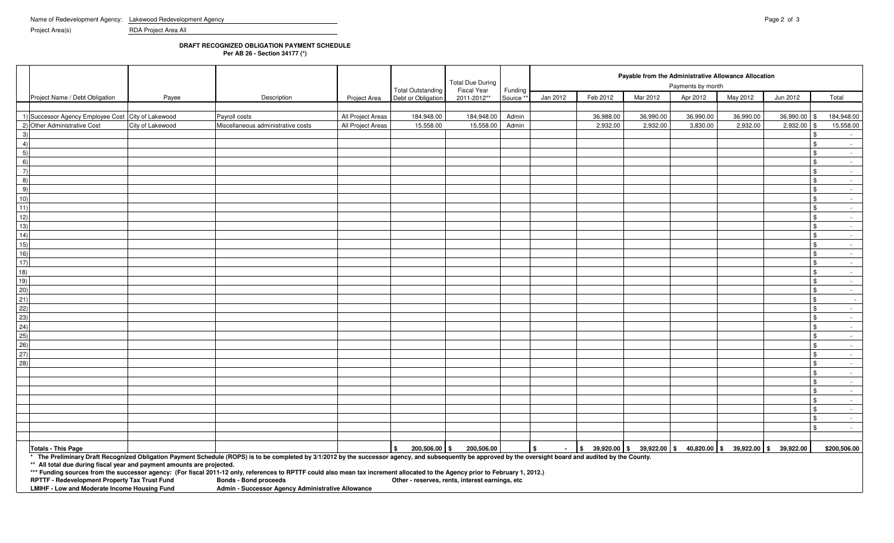Project Area(s) RDA Project Area All

## **DRAFT RECOGNIZED OBLIGATION PAYMENT SCHEDULE**

**Per AB 26 - Section 34177 (\*)**

| Apr 2012<br>Jan 2012<br>Feb 2012<br>Mar 2012<br>May 2012<br>Jun 2012<br>Total<br>Project Name / Debt Obligation<br>Description<br>Payee<br>Debt or Obligation<br>2011-2012**<br>Source **<br><b>Project Area</b><br>1) Successor Agency Employee Cost City of Lakewood<br>184,948.00<br>184,948.00<br>36,990.00<br>36,990.00<br>All Project Areas<br>Admin<br>36,988.00<br>36,990.00<br>36,990.00<br>184,948.00<br>Payroll costs<br>2) Other Administrative Cost<br>15,558.00<br>City of Lakewood<br>Miscellaneous administrative costs<br>All Project Areas<br>15,558.00<br>15,558.00<br>Admin<br>2,932.00<br>2,932.00<br>3,830.00<br>2,932.00<br>$2,932.00$ \$<br>-3<br>$\sim$ $-$<br>$\overline{4}$<br>l \$<br>$\sim 100$<br>5)<br>\$<br>$\sim$ $-$<br>6)<br><b>S</b><br>$\sim 10^{-11}$<br>$\overline{7}$<br>l \$<br>$\sim$ $-$<br>8)<br><b>S</b><br>$\sim 10^{-11}$<br>9)<br>$\mathbf{\hat{s}}$<br>$\sim 10^{-11}$<br>10)<br>$\sqrt{3}$<br>$\sim$ 100 $\mu$<br>11)<br><b>S</b><br>$\sim 100$<br>12)<br><b>S</b><br>$\sim 10^{-11}$<br>13)<br><b>S</b><br>$\sim 10^{-11}$<br>14)<br>l \$<br>$\sim 100$<br>15)<br>$\sqrt{3}$<br>$\sim 10^{-11}$<br>16)<br><b>S</b><br>$\sim$ $-$<br>17)<br><b>\$</b><br><b>Contract</b><br>18)<br><b>\$</b><br>$\sim 10^{-11}$<br>19)<br>l \$<br>$\sim$ $-$<br>(20)<br>l \$<br>$\sim 10^{-11}$<br>21)<br>$\sqrt{3}$<br>$\sim$ $-$<br>22)<br>\$<br>$\sim 100$<br>(23)<br>$\sqrt{3}$<br>$\sim 10^{-11}$<br>$\overline{24}$<br>l \$<br>$\sim 10^{-1}$<br>25)<br>\$<br>$\sim 10^{-11}$<br>26)<br><b>S</b><br>$\sim 100$<br>27)<br>$\sqrt{3}$<br>$\sim 10^{-11}$<br>28)<br><b>\$</b><br>$\sim 10^{-11}$<br><b>S</b><br>$\sim 10^{-11}$<br><b>S</b><br>$\sim 10^{-11}$<br>$\sqrt{3}$<br>$\sim 10^{-11}$<br>$\mathbf{\hat{s}}$<br>$\sim 10^{-11}$<br>l \$<br>$\sim 100$<br><b>\$</b><br>$\sim 10^{-11}$<br><b>\$</b><br>$\sim 10$<br>200,506.00 \$<br>200,506.00<br>$\frac{1}{3}$ 39,920.00 $\frac{1}{3}$ 39,922.00 $\frac{1}{3}$ 40,820.00 $\frac{1}{3}$ 39,922.00 $\frac{1}{3}$<br>$\mathbf{s}$<br>39,922.00<br>\$200,506.00<br><b>Totals - This Page</b><br>\$<br>$\overline{\phantom{a}}$<br>* The Preliminary Draft Recognized Obligation Payment Schedule (ROPS) is to be completed by 3/1/2012 by the successor agency, and subsequently be approved by the oversight board and audited by the County.<br>** All total due during fiscal year and payment amounts are projected.<br>*** Funding sources from the successor agency: (For fiscal 2011-12 only, references to RPTTF could also mean tax increment allocated to the Agency prior to February 1, 2012.)<br>RPTTF - Redevelopment Property Tax Trust Fund<br><b>Bonds - Bond proceeds</b><br>Other - reserves, rents, interest earnings, etc<br>LMIHF - Low and Moderate Income Housing Fund<br>Admin - Successor Agency Administrative Allowance |  |  | <b>Total Outstanding</b> | <b>Total Due During</b><br><b>Fiscal Year</b> | Funding | Payable from the Administrative Allowance Allocation<br>Payments by month |  |  |  |  |  |  |  |  |
|------------------------------------------------------------------------------------------------------------------------------------------------------------------------------------------------------------------------------------------------------------------------------------------------------------------------------------------------------------------------------------------------------------------------------------------------------------------------------------------------------------------------------------------------------------------------------------------------------------------------------------------------------------------------------------------------------------------------------------------------------------------------------------------------------------------------------------------------------------------------------------------------------------------------------------------------------------------------------------------------------------------------------------------------------------------------------------------------------------------------------------------------------------------------------------------------------------------------------------------------------------------------------------------------------------------------------------------------------------------------------------------------------------------------------------------------------------------------------------------------------------------------------------------------------------------------------------------------------------------------------------------------------------------------------------------------------------------------------------------------------------------------------------------------------------------------------------------------------------------------------------------------------------------------------------------------------------------------------------------------------------------------------------------------------------------------------------------------------------------------------------------------------------------------------------------------------------------------------------------------------------------------------------------------------------------------------------------------------------------------------------------------------------------------------------------------------------------------------------------------------------------------------------------------------------------------------------------------------------------------------------------------------------------------------------------------------------------------------------------------------------------------------------------------------------------------------------------------|--|--|--------------------------|-----------------------------------------------|---------|---------------------------------------------------------------------------|--|--|--|--|--|--|--|--|
|                                                                                                                                                                                                                                                                                                                                                                                                                                                                                                                                                                                                                                                                                                                                                                                                                                                                                                                                                                                                                                                                                                                                                                                                                                                                                                                                                                                                                                                                                                                                                                                                                                                                                                                                                                                                                                                                                                                                                                                                                                                                                                                                                                                                                                                                                                                                                                                                                                                                                                                                                                                                                                                                                                                                                                                                                                                |  |  |                          |                                               |         |                                                                           |  |  |  |  |  |  |  |  |
|                                                                                                                                                                                                                                                                                                                                                                                                                                                                                                                                                                                                                                                                                                                                                                                                                                                                                                                                                                                                                                                                                                                                                                                                                                                                                                                                                                                                                                                                                                                                                                                                                                                                                                                                                                                                                                                                                                                                                                                                                                                                                                                                                                                                                                                                                                                                                                                                                                                                                                                                                                                                                                                                                                                                                                                                                                                |  |  |                          |                                               |         |                                                                           |  |  |  |  |  |  |  |  |
|                                                                                                                                                                                                                                                                                                                                                                                                                                                                                                                                                                                                                                                                                                                                                                                                                                                                                                                                                                                                                                                                                                                                                                                                                                                                                                                                                                                                                                                                                                                                                                                                                                                                                                                                                                                                                                                                                                                                                                                                                                                                                                                                                                                                                                                                                                                                                                                                                                                                                                                                                                                                                                                                                                                                                                                                                                                |  |  |                          |                                               |         |                                                                           |  |  |  |  |  |  |  |  |
|                                                                                                                                                                                                                                                                                                                                                                                                                                                                                                                                                                                                                                                                                                                                                                                                                                                                                                                                                                                                                                                                                                                                                                                                                                                                                                                                                                                                                                                                                                                                                                                                                                                                                                                                                                                                                                                                                                                                                                                                                                                                                                                                                                                                                                                                                                                                                                                                                                                                                                                                                                                                                                                                                                                                                                                                                                                |  |  |                          |                                               |         |                                                                           |  |  |  |  |  |  |  |  |
|                                                                                                                                                                                                                                                                                                                                                                                                                                                                                                                                                                                                                                                                                                                                                                                                                                                                                                                                                                                                                                                                                                                                                                                                                                                                                                                                                                                                                                                                                                                                                                                                                                                                                                                                                                                                                                                                                                                                                                                                                                                                                                                                                                                                                                                                                                                                                                                                                                                                                                                                                                                                                                                                                                                                                                                                                                                |  |  |                          |                                               |         |                                                                           |  |  |  |  |  |  |  |  |
|                                                                                                                                                                                                                                                                                                                                                                                                                                                                                                                                                                                                                                                                                                                                                                                                                                                                                                                                                                                                                                                                                                                                                                                                                                                                                                                                                                                                                                                                                                                                                                                                                                                                                                                                                                                                                                                                                                                                                                                                                                                                                                                                                                                                                                                                                                                                                                                                                                                                                                                                                                                                                                                                                                                                                                                                                                                |  |  |                          |                                               |         |                                                                           |  |  |  |  |  |  |  |  |
|                                                                                                                                                                                                                                                                                                                                                                                                                                                                                                                                                                                                                                                                                                                                                                                                                                                                                                                                                                                                                                                                                                                                                                                                                                                                                                                                                                                                                                                                                                                                                                                                                                                                                                                                                                                                                                                                                                                                                                                                                                                                                                                                                                                                                                                                                                                                                                                                                                                                                                                                                                                                                                                                                                                                                                                                                                                |  |  |                          |                                               |         |                                                                           |  |  |  |  |  |  |  |  |
|                                                                                                                                                                                                                                                                                                                                                                                                                                                                                                                                                                                                                                                                                                                                                                                                                                                                                                                                                                                                                                                                                                                                                                                                                                                                                                                                                                                                                                                                                                                                                                                                                                                                                                                                                                                                                                                                                                                                                                                                                                                                                                                                                                                                                                                                                                                                                                                                                                                                                                                                                                                                                                                                                                                                                                                                                                                |  |  |                          |                                               |         |                                                                           |  |  |  |  |  |  |  |  |
|                                                                                                                                                                                                                                                                                                                                                                                                                                                                                                                                                                                                                                                                                                                                                                                                                                                                                                                                                                                                                                                                                                                                                                                                                                                                                                                                                                                                                                                                                                                                                                                                                                                                                                                                                                                                                                                                                                                                                                                                                                                                                                                                                                                                                                                                                                                                                                                                                                                                                                                                                                                                                                                                                                                                                                                                                                                |  |  |                          |                                               |         |                                                                           |  |  |  |  |  |  |  |  |
|                                                                                                                                                                                                                                                                                                                                                                                                                                                                                                                                                                                                                                                                                                                                                                                                                                                                                                                                                                                                                                                                                                                                                                                                                                                                                                                                                                                                                                                                                                                                                                                                                                                                                                                                                                                                                                                                                                                                                                                                                                                                                                                                                                                                                                                                                                                                                                                                                                                                                                                                                                                                                                                                                                                                                                                                                                                |  |  |                          |                                               |         |                                                                           |  |  |  |  |  |  |  |  |
|                                                                                                                                                                                                                                                                                                                                                                                                                                                                                                                                                                                                                                                                                                                                                                                                                                                                                                                                                                                                                                                                                                                                                                                                                                                                                                                                                                                                                                                                                                                                                                                                                                                                                                                                                                                                                                                                                                                                                                                                                                                                                                                                                                                                                                                                                                                                                                                                                                                                                                                                                                                                                                                                                                                                                                                                                                                |  |  |                          |                                               |         |                                                                           |  |  |  |  |  |  |  |  |
|                                                                                                                                                                                                                                                                                                                                                                                                                                                                                                                                                                                                                                                                                                                                                                                                                                                                                                                                                                                                                                                                                                                                                                                                                                                                                                                                                                                                                                                                                                                                                                                                                                                                                                                                                                                                                                                                                                                                                                                                                                                                                                                                                                                                                                                                                                                                                                                                                                                                                                                                                                                                                                                                                                                                                                                                                                                |  |  |                          |                                               |         |                                                                           |  |  |  |  |  |  |  |  |
|                                                                                                                                                                                                                                                                                                                                                                                                                                                                                                                                                                                                                                                                                                                                                                                                                                                                                                                                                                                                                                                                                                                                                                                                                                                                                                                                                                                                                                                                                                                                                                                                                                                                                                                                                                                                                                                                                                                                                                                                                                                                                                                                                                                                                                                                                                                                                                                                                                                                                                                                                                                                                                                                                                                                                                                                                                                |  |  |                          |                                               |         |                                                                           |  |  |  |  |  |  |  |  |
|                                                                                                                                                                                                                                                                                                                                                                                                                                                                                                                                                                                                                                                                                                                                                                                                                                                                                                                                                                                                                                                                                                                                                                                                                                                                                                                                                                                                                                                                                                                                                                                                                                                                                                                                                                                                                                                                                                                                                                                                                                                                                                                                                                                                                                                                                                                                                                                                                                                                                                                                                                                                                                                                                                                                                                                                                                                |  |  |                          |                                               |         |                                                                           |  |  |  |  |  |  |  |  |
|                                                                                                                                                                                                                                                                                                                                                                                                                                                                                                                                                                                                                                                                                                                                                                                                                                                                                                                                                                                                                                                                                                                                                                                                                                                                                                                                                                                                                                                                                                                                                                                                                                                                                                                                                                                                                                                                                                                                                                                                                                                                                                                                                                                                                                                                                                                                                                                                                                                                                                                                                                                                                                                                                                                                                                                                                                                |  |  |                          |                                               |         |                                                                           |  |  |  |  |  |  |  |  |
|                                                                                                                                                                                                                                                                                                                                                                                                                                                                                                                                                                                                                                                                                                                                                                                                                                                                                                                                                                                                                                                                                                                                                                                                                                                                                                                                                                                                                                                                                                                                                                                                                                                                                                                                                                                                                                                                                                                                                                                                                                                                                                                                                                                                                                                                                                                                                                                                                                                                                                                                                                                                                                                                                                                                                                                                                                                |  |  |                          |                                               |         |                                                                           |  |  |  |  |  |  |  |  |
|                                                                                                                                                                                                                                                                                                                                                                                                                                                                                                                                                                                                                                                                                                                                                                                                                                                                                                                                                                                                                                                                                                                                                                                                                                                                                                                                                                                                                                                                                                                                                                                                                                                                                                                                                                                                                                                                                                                                                                                                                                                                                                                                                                                                                                                                                                                                                                                                                                                                                                                                                                                                                                                                                                                                                                                                                                                |  |  |                          |                                               |         |                                                                           |  |  |  |  |  |  |  |  |
|                                                                                                                                                                                                                                                                                                                                                                                                                                                                                                                                                                                                                                                                                                                                                                                                                                                                                                                                                                                                                                                                                                                                                                                                                                                                                                                                                                                                                                                                                                                                                                                                                                                                                                                                                                                                                                                                                                                                                                                                                                                                                                                                                                                                                                                                                                                                                                                                                                                                                                                                                                                                                                                                                                                                                                                                                                                |  |  |                          |                                               |         |                                                                           |  |  |  |  |  |  |  |  |
|                                                                                                                                                                                                                                                                                                                                                                                                                                                                                                                                                                                                                                                                                                                                                                                                                                                                                                                                                                                                                                                                                                                                                                                                                                                                                                                                                                                                                                                                                                                                                                                                                                                                                                                                                                                                                                                                                                                                                                                                                                                                                                                                                                                                                                                                                                                                                                                                                                                                                                                                                                                                                                                                                                                                                                                                                                                |  |  |                          |                                               |         |                                                                           |  |  |  |  |  |  |  |  |
|                                                                                                                                                                                                                                                                                                                                                                                                                                                                                                                                                                                                                                                                                                                                                                                                                                                                                                                                                                                                                                                                                                                                                                                                                                                                                                                                                                                                                                                                                                                                                                                                                                                                                                                                                                                                                                                                                                                                                                                                                                                                                                                                                                                                                                                                                                                                                                                                                                                                                                                                                                                                                                                                                                                                                                                                                                                |  |  |                          |                                               |         |                                                                           |  |  |  |  |  |  |  |  |
|                                                                                                                                                                                                                                                                                                                                                                                                                                                                                                                                                                                                                                                                                                                                                                                                                                                                                                                                                                                                                                                                                                                                                                                                                                                                                                                                                                                                                                                                                                                                                                                                                                                                                                                                                                                                                                                                                                                                                                                                                                                                                                                                                                                                                                                                                                                                                                                                                                                                                                                                                                                                                                                                                                                                                                                                                                                |  |  |                          |                                               |         |                                                                           |  |  |  |  |  |  |  |  |
|                                                                                                                                                                                                                                                                                                                                                                                                                                                                                                                                                                                                                                                                                                                                                                                                                                                                                                                                                                                                                                                                                                                                                                                                                                                                                                                                                                                                                                                                                                                                                                                                                                                                                                                                                                                                                                                                                                                                                                                                                                                                                                                                                                                                                                                                                                                                                                                                                                                                                                                                                                                                                                                                                                                                                                                                                                                |  |  |                          |                                               |         |                                                                           |  |  |  |  |  |  |  |  |
|                                                                                                                                                                                                                                                                                                                                                                                                                                                                                                                                                                                                                                                                                                                                                                                                                                                                                                                                                                                                                                                                                                                                                                                                                                                                                                                                                                                                                                                                                                                                                                                                                                                                                                                                                                                                                                                                                                                                                                                                                                                                                                                                                                                                                                                                                                                                                                                                                                                                                                                                                                                                                                                                                                                                                                                                                                                |  |  |                          |                                               |         |                                                                           |  |  |  |  |  |  |  |  |
|                                                                                                                                                                                                                                                                                                                                                                                                                                                                                                                                                                                                                                                                                                                                                                                                                                                                                                                                                                                                                                                                                                                                                                                                                                                                                                                                                                                                                                                                                                                                                                                                                                                                                                                                                                                                                                                                                                                                                                                                                                                                                                                                                                                                                                                                                                                                                                                                                                                                                                                                                                                                                                                                                                                                                                                                                                                |  |  |                          |                                               |         |                                                                           |  |  |  |  |  |  |  |  |
|                                                                                                                                                                                                                                                                                                                                                                                                                                                                                                                                                                                                                                                                                                                                                                                                                                                                                                                                                                                                                                                                                                                                                                                                                                                                                                                                                                                                                                                                                                                                                                                                                                                                                                                                                                                                                                                                                                                                                                                                                                                                                                                                                                                                                                                                                                                                                                                                                                                                                                                                                                                                                                                                                                                                                                                                                                                |  |  |                          |                                               |         |                                                                           |  |  |  |  |  |  |  |  |
|                                                                                                                                                                                                                                                                                                                                                                                                                                                                                                                                                                                                                                                                                                                                                                                                                                                                                                                                                                                                                                                                                                                                                                                                                                                                                                                                                                                                                                                                                                                                                                                                                                                                                                                                                                                                                                                                                                                                                                                                                                                                                                                                                                                                                                                                                                                                                                                                                                                                                                                                                                                                                                                                                                                                                                                                                                                |  |  |                          |                                               |         |                                                                           |  |  |  |  |  |  |  |  |
|                                                                                                                                                                                                                                                                                                                                                                                                                                                                                                                                                                                                                                                                                                                                                                                                                                                                                                                                                                                                                                                                                                                                                                                                                                                                                                                                                                                                                                                                                                                                                                                                                                                                                                                                                                                                                                                                                                                                                                                                                                                                                                                                                                                                                                                                                                                                                                                                                                                                                                                                                                                                                                                                                                                                                                                                                                                |  |  |                          |                                               |         |                                                                           |  |  |  |  |  |  |  |  |
|                                                                                                                                                                                                                                                                                                                                                                                                                                                                                                                                                                                                                                                                                                                                                                                                                                                                                                                                                                                                                                                                                                                                                                                                                                                                                                                                                                                                                                                                                                                                                                                                                                                                                                                                                                                                                                                                                                                                                                                                                                                                                                                                                                                                                                                                                                                                                                                                                                                                                                                                                                                                                                                                                                                                                                                                                                                |  |  |                          |                                               |         |                                                                           |  |  |  |  |  |  |  |  |
|                                                                                                                                                                                                                                                                                                                                                                                                                                                                                                                                                                                                                                                                                                                                                                                                                                                                                                                                                                                                                                                                                                                                                                                                                                                                                                                                                                                                                                                                                                                                                                                                                                                                                                                                                                                                                                                                                                                                                                                                                                                                                                                                                                                                                                                                                                                                                                                                                                                                                                                                                                                                                                                                                                                                                                                                                                                |  |  |                          |                                               |         |                                                                           |  |  |  |  |  |  |  |  |
|                                                                                                                                                                                                                                                                                                                                                                                                                                                                                                                                                                                                                                                                                                                                                                                                                                                                                                                                                                                                                                                                                                                                                                                                                                                                                                                                                                                                                                                                                                                                                                                                                                                                                                                                                                                                                                                                                                                                                                                                                                                                                                                                                                                                                                                                                                                                                                                                                                                                                                                                                                                                                                                                                                                                                                                                                                                |  |  |                          |                                               |         |                                                                           |  |  |  |  |  |  |  |  |
|                                                                                                                                                                                                                                                                                                                                                                                                                                                                                                                                                                                                                                                                                                                                                                                                                                                                                                                                                                                                                                                                                                                                                                                                                                                                                                                                                                                                                                                                                                                                                                                                                                                                                                                                                                                                                                                                                                                                                                                                                                                                                                                                                                                                                                                                                                                                                                                                                                                                                                                                                                                                                                                                                                                                                                                                                                                |  |  |                          |                                               |         |                                                                           |  |  |  |  |  |  |  |  |
|                                                                                                                                                                                                                                                                                                                                                                                                                                                                                                                                                                                                                                                                                                                                                                                                                                                                                                                                                                                                                                                                                                                                                                                                                                                                                                                                                                                                                                                                                                                                                                                                                                                                                                                                                                                                                                                                                                                                                                                                                                                                                                                                                                                                                                                                                                                                                                                                                                                                                                                                                                                                                                                                                                                                                                                                                                                |  |  |                          |                                               |         |                                                                           |  |  |  |  |  |  |  |  |
|                                                                                                                                                                                                                                                                                                                                                                                                                                                                                                                                                                                                                                                                                                                                                                                                                                                                                                                                                                                                                                                                                                                                                                                                                                                                                                                                                                                                                                                                                                                                                                                                                                                                                                                                                                                                                                                                                                                                                                                                                                                                                                                                                                                                                                                                                                                                                                                                                                                                                                                                                                                                                                                                                                                                                                                                                                                |  |  |                          |                                               |         |                                                                           |  |  |  |  |  |  |  |  |
|                                                                                                                                                                                                                                                                                                                                                                                                                                                                                                                                                                                                                                                                                                                                                                                                                                                                                                                                                                                                                                                                                                                                                                                                                                                                                                                                                                                                                                                                                                                                                                                                                                                                                                                                                                                                                                                                                                                                                                                                                                                                                                                                                                                                                                                                                                                                                                                                                                                                                                                                                                                                                                                                                                                                                                                                                                                |  |  |                          |                                               |         |                                                                           |  |  |  |  |  |  |  |  |
|                                                                                                                                                                                                                                                                                                                                                                                                                                                                                                                                                                                                                                                                                                                                                                                                                                                                                                                                                                                                                                                                                                                                                                                                                                                                                                                                                                                                                                                                                                                                                                                                                                                                                                                                                                                                                                                                                                                                                                                                                                                                                                                                                                                                                                                                                                                                                                                                                                                                                                                                                                                                                                                                                                                                                                                                                                                |  |  |                          |                                               |         |                                                                           |  |  |  |  |  |  |  |  |
|                                                                                                                                                                                                                                                                                                                                                                                                                                                                                                                                                                                                                                                                                                                                                                                                                                                                                                                                                                                                                                                                                                                                                                                                                                                                                                                                                                                                                                                                                                                                                                                                                                                                                                                                                                                                                                                                                                                                                                                                                                                                                                                                                                                                                                                                                                                                                                                                                                                                                                                                                                                                                                                                                                                                                                                                                                                |  |  |                          |                                               |         |                                                                           |  |  |  |  |  |  |  |  |
|                                                                                                                                                                                                                                                                                                                                                                                                                                                                                                                                                                                                                                                                                                                                                                                                                                                                                                                                                                                                                                                                                                                                                                                                                                                                                                                                                                                                                                                                                                                                                                                                                                                                                                                                                                                                                                                                                                                                                                                                                                                                                                                                                                                                                                                                                                                                                                                                                                                                                                                                                                                                                                                                                                                                                                                                                                                |  |  |                          |                                               |         |                                                                           |  |  |  |  |  |  |  |  |
|                                                                                                                                                                                                                                                                                                                                                                                                                                                                                                                                                                                                                                                                                                                                                                                                                                                                                                                                                                                                                                                                                                                                                                                                                                                                                                                                                                                                                                                                                                                                                                                                                                                                                                                                                                                                                                                                                                                                                                                                                                                                                                                                                                                                                                                                                                                                                                                                                                                                                                                                                                                                                                                                                                                                                                                                                                                |  |  |                          |                                               |         |                                                                           |  |  |  |  |  |  |  |  |
|                                                                                                                                                                                                                                                                                                                                                                                                                                                                                                                                                                                                                                                                                                                                                                                                                                                                                                                                                                                                                                                                                                                                                                                                                                                                                                                                                                                                                                                                                                                                                                                                                                                                                                                                                                                                                                                                                                                                                                                                                                                                                                                                                                                                                                                                                                                                                                                                                                                                                                                                                                                                                                                                                                                                                                                                                                                |  |  |                          |                                               |         |                                                                           |  |  |  |  |  |  |  |  |
|                                                                                                                                                                                                                                                                                                                                                                                                                                                                                                                                                                                                                                                                                                                                                                                                                                                                                                                                                                                                                                                                                                                                                                                                                                                                                                                                                                                                                                                                                                                                                                                                                                                                                                                                                                                                                                                                                                                                                                                                                                                                                                                                                                                                                                                                                                                                                                                                                                                                                                                                                                                                                                                                                                                                                                                                                                                |  |  |                          |                                               |         |                                                                           |  |  |  |  |  |  |  |  |
|                                                                                                                                                                                                                                                                                                                                                                                                                                                                                                                                                                                                                                                                                                                                                                                                                                                                                                                                                                                                                                                                                                                                                                                                                                                                                                                                                                                                                                                                                                                                                                                                                                                                                                                                                                                                                                                                                                                                                                                                                                                                                                                                                                                                                                                                                                                                                                                                                                                                                                                                                                                                                                                                                                                                                                                                                                                |  |  |                          |                                               |         |                                                                           |  |  |  |  |  |  |  |  |
|                                                                                                                                                                                                                                                                                                                                                                                                                                                                                                                                                                                                                                                                                                                                                                                                                                                                                                                                                                                                                                                                                                                                                                                                                                                                                                                                                                                                                                                                                                                                                                                                                                                                                                                                                                                                                                                                                                                                                                                                                                                                                                                                                                                                                                                                                                                                                                                                                                                                                                                                                                                                                                                                                                                                                                                                                                                |  |  |                          |                                               |         |                                                                           |  |  |  |  |  |  |  |  |